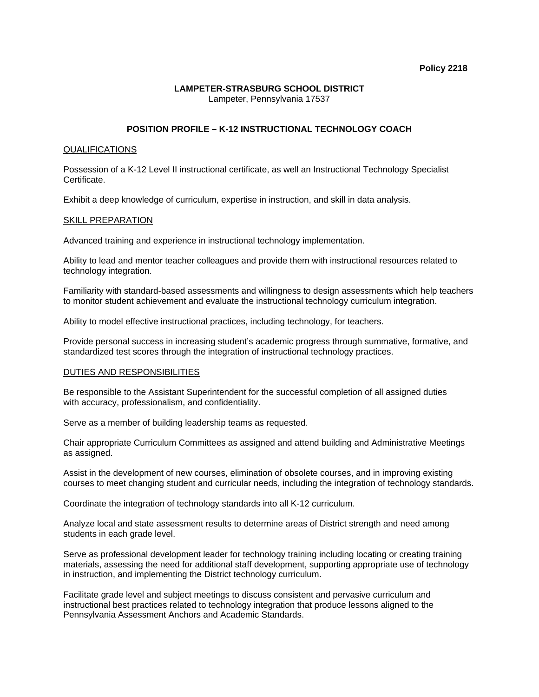### **Policy 2218**

### **LAMPETER-STRASBURG SCHOOL DISTRICT**  Lampeter, Pennsylvania 17537

# **POSITION PROFILE – K-12 INSTRUCTIONAL TECHNOLOGY COACH**

## QUALIFICATIONS

Possession of a K-12 Level II instructional certificate, as well an Instructional Technology Specialist Certificate.

Exhibit a deep knowledge of curriculum, expertise in instruction, and skill in data analysis.

## SKILL PREPARATION

Advanced training and experience in instructional technology implementation.

Ability to lead and mentor teacher colleagues and provide them with instructional resources related to technology integration.

Familiarity with standard-based assessments and willingness to design assessments which help teachers to monitor student achievement and evaluate the instructional technology curriculum integration.

Ability to model effective instructional practices, including technology, for teachers.

Provide personal success in increasing student's academic progress through summative, formative, and standardized test scores through the integration of instructional technology practices.

## DUTIES AND RESPONSIBILITIES

Be responsible to the Assistant Superintendent for the successful completion of all assigned duties with accuracy, professionalism, and confidentiality.

Serve as a member of building leadership teams as requested.

Chair appropriate Curriculum Committees as assigned and attend building and Administrative Meetings as assigned.

Assist in the development of new courses, elimination of obsolete courses, and in improving existing courses to meet changing student and curricular needs, including the integration of technology standards.

Coordinate the integration of technology standards into all K-12 curriculum.

Analyze local and state assessment results to determine areas of District strength and need among students in each grade level.

Serve as professional development leader for technology training including locating or creating training materials, assessing the need for additional staff development, supporting appropriate use of technology in instruction, and implementing the District technology curriculum.

Facilitate grade level and subject meetings to discuss consistent and pervasive curriculum and instructional best practices related to technology integration that produce lessons aligned to the Pennsylvania Assessment Anchors and Academic Standards.